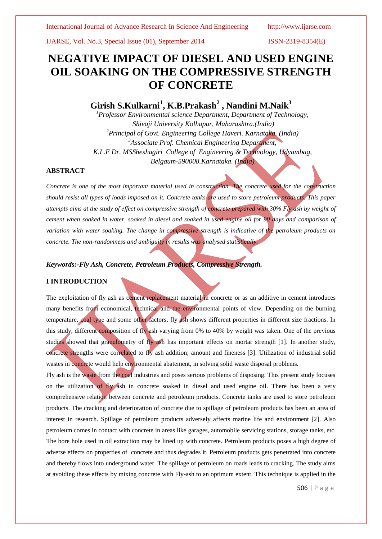IJARSE, Vol. No.3, Special Issue (01), September 2014 ISSN-2319-8354(E)

# **NEGATIVE IMPACT OF DIESEL AND USED ENGINE OIL SOAKING ON THE COMPRESSIVE STRENGTH OF CONCRETE**

# **Girish S.Kulkarni<sup>1</sup> , K.B.Prakash<sup>2</sup> , Nandini M.Naik<sup>3</sup>**

*<sup>1</sup>Professor Environmental science Department, Department of Technology, Shivaji University Kolhapur, Maharashtra.(India) <sup>2</sup>Principal of Govt. Engineering College Haveri. Karnataka. (India) <sup>3</sup>Associate Prof. Chemical Engineering Department, K.L.E Dr. MSSheshagiri College of Engineering & Technology, Udyambag, Belgaum-590008.Karnataka. (India)*

### **ABSTRACT**

*Concrete is one of the most important material used in construction. The concrete used for the construction should resist all types of loads imposed on it. Concrete tanks are used to store petroleum products. This paper attempts aims at the study of effect on compressive strength of concrete prepared with 30% Fly ash by weight of cement when soaked in water, soaked in diesel and soaked in used engine oil for 90 days and comparison of variation with water soaking. The change in compressive strength is indicative of the petroleum products on concrete. The non-randomness and ambiguity in results was analysed statistically.*

### *Keywords:-Fly Ash, Concrete, Petroleum Products, Compressive Strength.*

### **I INTRODUCTION**

The exploitation of fly ash as cement replacement material in concrete or as an additive in cement introduces many benefits from economical, technical and the environmental points of view. Depending on the burning temperature, coal type and some other factors, fly ash shows different properties in different size fractions. In this study, different composition of fly ash varying from 0% to 40% by weight was taken. One of the previous studies showed that granulometry of fly ash has important effects on mortar strength [1]. In another study, concrete strengths were correlated to fly ash addition, amount and fineness [3]. Utilization of industrial solid wastes in concrete would help environmental abatement, in solving solid waste disposal problems.

Fly ash is the waste from the coal industries and poses serious problems of disposing. This present study focuses on the utilization of fly ash in concrete soaked in diesel and used engine oil. There has been a very comprehensive relation between concrete and petroleum products. Concrete tanks are used to store petroleum products. The cracking and deterioration of concrete due to spillage of petroleum products has been an area of interest in research. Spillage of petroleum products adversely affects marine life and environment [2]. Also petroleum comes in contact with concrete in areas like garages, automobile servicing stations, storage tanks, etc. The bore hole used in oil extraction may be lined up with concrete. Petroleum products poses a high degree of adverse effects on properties of concrete and thus degrades it. Petroleum products gets penetrated into concrete and thereby flows into underground water. The spillage of petroleum on roads leads to cracking. The study aims at avoiding these effects by mixing concrete with Fly-ash to an optimum extent. This technique is applied in the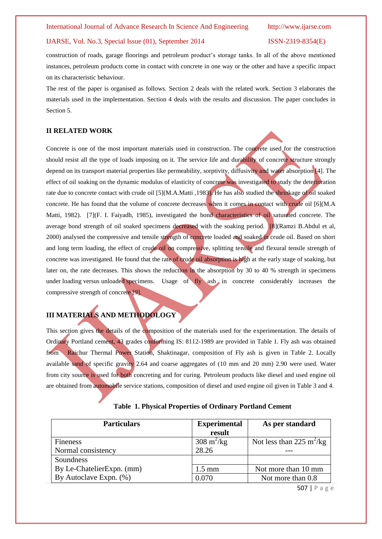### IJARSE, Vol. No.3, Special Issue (01), September 2014 ISSN-2319-8354(E)

construction of roads, garage floorings and petroleum product's storage tanks. In all of the above mentioned instances, petroleum products come in contact with concrete in one way or the other and have a specific impact on its characteristic behaviour.

The rest of the paper is organised as follows. Section 2 deals with the related work. Section 3 elaborates the materials used in the implementation. Section 4 deals with the results and discussion. The paper concludes in Section 5.

### **II RELATED WORK**

Concrete is one of the most important materials used in construction. The concrete used for the construction should resist all the type of loads imposing on it. The service life and durability of concrete structure strongly depend on its transport material properties like permeability, sorptivity, diffusivity and water absorption [4]. The effect of oil soaking on the dynamic modulus of elasticity of concrete was investigated to study the deterioration rate due to concrete contact with crude oil [5](M.A.Matti ,1983). He has also studied the shrinkage of oil soaked concrete. He has found that the volume of concrete decreases when it comes in contact with crude oil [6](M.A Matti, 1982). [7](F. I. Faiyadh, 1985), investigated the bond characteristics of oil saturated concrete. The average bond strength of oil soaked specimens decreased with the soaking period. [8](Ramzi B.Abdul et al, 2000) analysed the compressive and tensile strength of concrete loaded and soaked in crude oil. Based on short and long term loading, the effect of crude oil on compressive, splitting tensile and flexural tensile strength of concrete was investigated. He found that the rate of crude oil absorption is high at the early stage of soaking, but later on, the rate decreases. This shows the reduction in the absorption by 30 to 40 % strength in specimens under loading versus unloaded specimens. Usage of fly ash in concrete considerably increases the compressive strength of concrete [9].

## **III MATERIALS AND METHODOLOGY**

This section gives the details of the composition of the materials used for the experimentation. The details of Ordinary Portland cement, 43 grades conforming IS: 8112-1989 are provided in Table 1. Fly ash was obtained from Raichur Thermal Power Station, Shaktinagar, composition of Fly ash is given in Table 2. Locally available sand of specific gravity 2.64 and coarse aggregates of (10 mm and 20 mm) 2.90 were used. Water from city source is used for both concreting and for curing. Petroleum products like diesel and used engine oil are obtained from automobile service stations, composition of diesel and used engine oil given in Table 3 and 4.

|  |  | <b>Table 1. Physical Properties of Ordinary Portland Cement</b> |  |  |  |
|--|--|-----------------------------------------------------------------|--|--|--|
|--|--|-----------------------------------------------------------------|--|--|--|

| <b>Particulars</b>        | <b>Experimental</b>         | As per standard                      |  |
|---------------------------|-----------------------------|--------------------------------------|--|
|                           | result                      |                                      |  |
| Fineness                  | $308 \text{ m}^2/\text{kg}$ | Not less than 225 m <sup>2</sup> /kg |  |
| Normal consistency        | 28.26                       |                                      |  |
| Soundness                 |                             |                                      |  |
| By Le-ChatelierExpn. (mm) | $1.5 \text{ mm}$            | Not more than 10 mm                  |  |
| By Autoclave Expn. (%)    | 0.070                       | Not more than 0.8                    |  |

507 | P a g e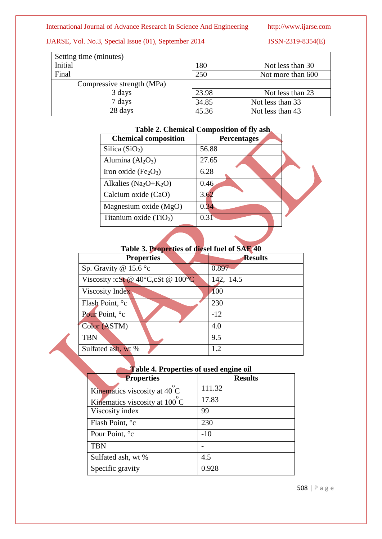## IJARSE, Vol. No.3, Special Issue (01), September 2014 ISSN-2319-8354(E)

| Setting time (minutes)     |       |                   |
|----------------------------|-------|-------------------|
| Initial                    | 180   | Not less than 30  |
| Final                      | 250   | Not more than 600 |
| Compressive strength (MPa) |       |                   |
| 3 days                     | 23.98 | Not less than 23  |
| 7 days                     | 34.85 | Not less than 33  |
| 28 days                    | 45.36 | Not less than 43  |

| Table 2. Chemical Composition of fly ash |  |
|------------------------------------------|--|
|------------------------------------------|--|

| <b>Percentages</b> |
|--------------------|
| 56.88              |
| 27.65              |
| 6.28               |
| 0.46               |
| 3.62               |
| 0.34               |
| 0.31               |
|                    |

# **Table 3. Properties of diesel fuel of SAE 40**

| <b>Properties</b>                                  | <b>Results</b> |
|----------------------------------------------------|----------------|
| Sp. Gravity @ $15.6^{\circ}c$                      | 0.897          |
| Viscosity: $cSt @ 40^{\circ}C, cSt @ 100^{\circ}C$ | 142, 14.5      |
| Viscosity Index                                    | <b>100</b>     |
| Flash Point, °c                                    | 230            |
| Pour Point, °c                                     | $-12$          |
| Color (ASTM)                                       | 4.0            |
| <b>TBN</b>                                         | 9.5            |
| Sulfated ash, wt %                                 | 1.2            |

| <b>Table 4. Properties of used engine oil</b> |                |
|-----------------------------------------------|----------------|
| <b>Properties</b>                             | <b>Results</b> |
| Kinematics viscosity at 40 C                  | 111.32         |
| Kinematics viscosity at 100 C                 | 17.83          |
| Viscosity index                               | 99             |
| Flash Point, <sup>o</sup> c                   | 230            |
| Pour Point, °c                                | $-10$          |
| <b>TBN</b>                                    |                |
| Sulfated ash, wt %                            | 4.5            |
| Specific gravity                              | 0.928          |
|                                               |                |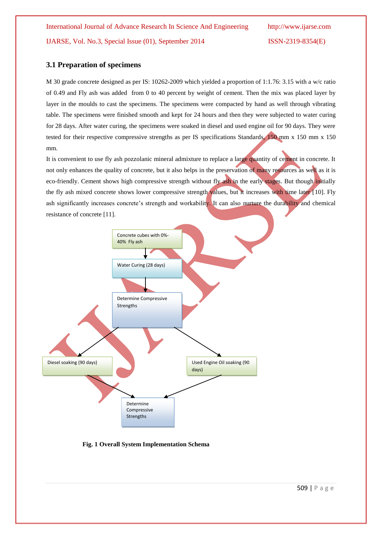### **3.1 Preparation of specimens**

M 30 grade concrete designed as per IS: 10262-2009 which yielded a proportion of 1:1.76: 3.15 with a w/c ratio of 0.49 and Fly ash was added from 0 to 40 percent by weight of cement. Then the mix was placed layer by layer in the moulds to cast the specimens. The specimens were compacted by hand as well through vibrating table. The specimens were finished smooth and kept for 24 hours and then they were subjected to water curing for 28 days. After water curing, the specimens were soaked in diesel and used engine oil for 90 days. They were tested for their respective compressive strengths as per IS specifications Standards, 150 mm x 150 mm x 150 mm.

It is convenient to use fly ash pozzolanic mineral admixture to replace a large quantity of cement in concrete. It not only enhances the quality of concrete, but it also helps in the preservation of many resources as well as it is eco-friendly. Cement shows high compressive strength without fly ash in the early stages. But though initially the fly ash mixed concrete shows lower compressive strength values, but it increases with time later [10]. Fly ash significantly increases concrete's strength and workability. It can also nurture the durability and chemical resistance of concrete [11].



**Fig. 1 Overall System Implementation Schema**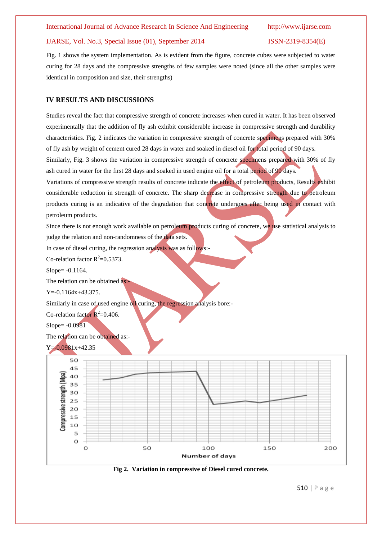### IJARSE, Vol. No.3, Special Issue (01), September 2014 ISSN-2319-8354(E)

Fig. 1 shows the system implementation. As is evident from the figure, concrete cubes were subjected to water curing for 28 days and the compressive strengths of few samples were noted (since all the other samples were identical in composition and size, their strengths)

### **IV RESULTS AND DISCUSSIONS**

Studies reveal the fact that compressive strength of concrete increases when cured in water. It has been observed experimentally that the addition of fly ash exhibit considerable increase in compressive strength and durability characteristics. Fig. 2 indicates the variation in compressive strength of concrete specimens prepared with 30% of fly ash by weight of cement cured 28 days in water and soaked in diesel oil for total period of 90 days.

Similarly, Fig. 3 shows the variation in compressive strength of concrete specimens prepared with 30% of fly ash cured in water for the first 28 days and soaked in used engine oil for a total period of 90 days.

Variations of compressive strength results of concrete indicate the effect of petroleum products, Results exhibit considerable reduction in strength of concrete. The sharp decrease in compressive strength due to petroleum products curing is an indicative of the degradation that concrete undergoes after being used in contact with petroleum products.

Since there is not enough work available on petroleum products curing of concrete, we use statistical analysis to judge the relation and non-randomness of the data sets.

In case of diesel curing, the regression analysis was as follows:-

Co-relation factor  $R^2 = 0.5373$ .

Slope= -0.1164.

The relation can be obtained as:-

 $Y = -0.1164x + 43.375.$ 

Similarly in case of used engine oil curing, the regression analysis bore:-

Co-relation factor  $R^2$ =0.406.

Slope= -0.0981

The relation can be obtained as:-





**Fig 2. Variation in compressive of Diesel cured concrete.**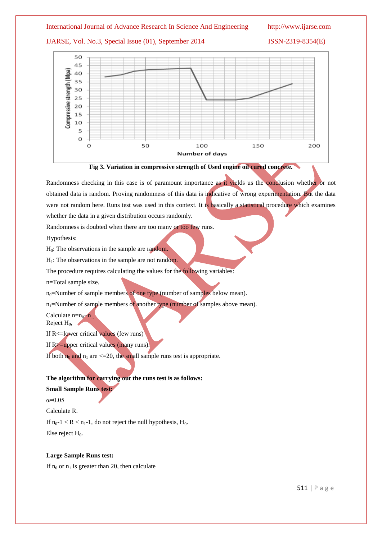## IJARSE, Vol. No.3, Special Issue (01), September 2014 ISSN-2319-8354(E)





Randomness checking in this case is of paramount importance as it yields us the conclusion whether or not obtained data is random. Proving randomness of this data is indicative of wrong experimentation. But the data were not random here. Runs test was used in this context. It is basically a statistical procedure which examines whether the data in a given distribution occurs randomly.

Randomness is doubted when there are too many or too few runs.

Hypothesis:

 $H<sub>0</sub>$ : The observations in the sample are random.

 $H<sub>1</sub>$ : The observations in the sample are not random.

The procedure requires calculating the values for the following variables:

n=Total sample size.

 $n_0$ =Number of sample members of one type (number of samples below mean).

 $n_1$ =Number of sample members of another type (number of samples above mean).

Calculate  $n=n_0+n_1$ .

Reject  $H_0$ ,

If  $R \leq$ =lower critical values (few runs)

If R>=upper critical values (many runs).

If both  $n_0$  and  $n_1$  are  $\leq$  = 20, the small sample runs test is appropriate.

### **The algorithm for carrying out the runs test is as follows:**

### **Small Sample Runs test:**

α=0.05

Calculate R.

If  $n_0-1 < R < n_1-1$ , do not reject the null hypothesis,  $H_0$ . Else reject  $H_0$ .

### **Large Sample Runs test:**

If  $n_0$  or  $n_1$  is greater than 20, then calculate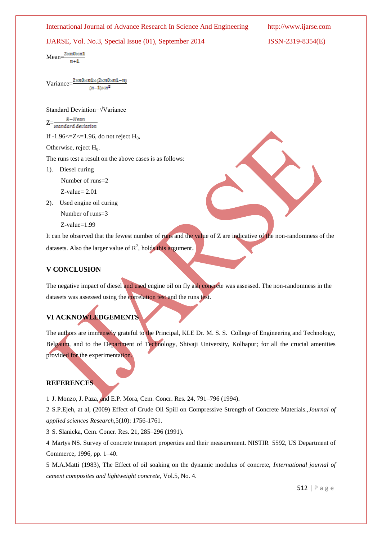# International Journal of Advance Research In Science And Engineering http://www.ijarse.com IJARSE, Vol. No.3, Special Issue (01), September 2014 ISSN-2319-8354(E)  $Mean = \frac{2 \times n0 \times n1}{n}$  $n+1$ Variance= $\frac{2\times n0\times n1\times (2\times n0\times n1-n)}{}$  $(n-1)\times n^2$ Standard Deviation=√Variance  $R-Mean$  $Z=\frac{1}{\text{Standard deviation}}$ If  $-1.96 \le Z \le 1.96$ , do not reject H<sub>0</sub>, Otherwise, reject  $H_0$ . The runs test a result on the above cases is as follows: 1). Diesel curing Number of runs=2 Z-value= 2.01 2). Used engine oil curing Number of runs=3 Z-value=1.99 It can be observed that the fewest number of runs and the value of Z are indicative of the non-randomness of the datasets. Also the larger value of  $R^2$ , holds this argument.

### **V CONCLUSION**

The negative impact of diesel and used engine oil on fly ash concrete was assessed. The non-randomness in the datasets was assessed using the correlation test and the runs test.

# **VI ACKNOWLEDGEMENTS**

The authors are immensely grateful to the Principal, KLE Dr. M. S. S. College of Engineering and Technology, Belgaum, and to the Department of Technology, Shivaji University, Kolhapur; for all the crucial amenities provided for the experimentation.

### **REFERENCES**

1 J. Monzo, J. Paza, and E.P. Mora, Cem. Concr. Res. 24, 791–796 (1994).

2 S.P.Ejeh, at al, (2009) Effect of Crude Oil Spill on Compressive Strength of Concrete Materials.,*Journal of applied sciences Research*,5(10): 1756-1761.

3 S. Slanicka, Cem. Concr. Res. 21, 285–296 (1991).

4 Martys NS. Survey of concrete transport properties and their measurement. NISTIR 5592, US Department of Commerce, 1996, pp. 1–40.

5 M.A.Matti (1983), The Effect of oil soaking on the dynamic modulus of concrete, *International journal of cement composites and lightweight concrete*, Vol.5, No. 4.